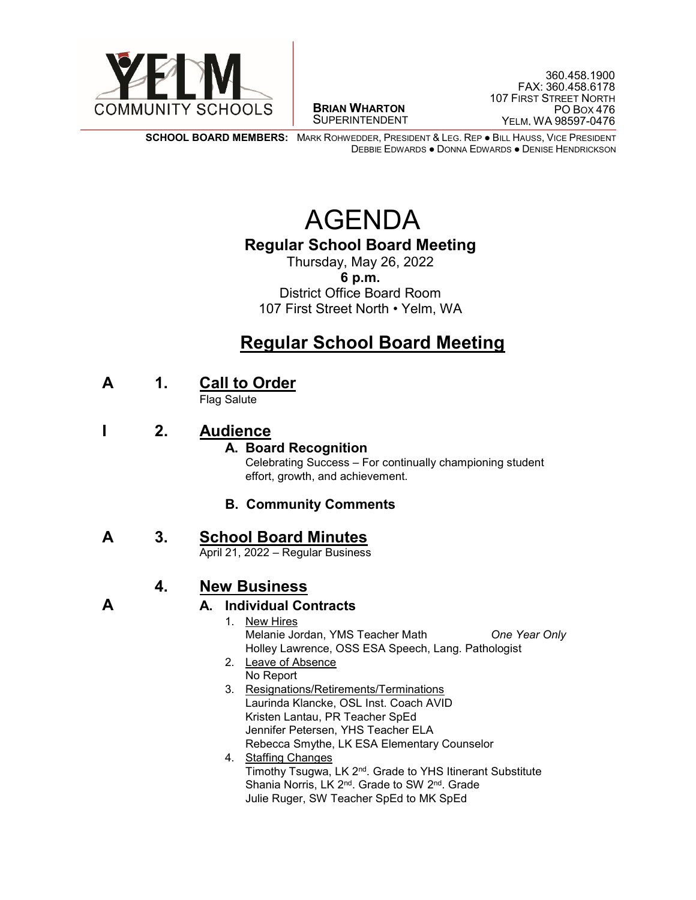

 $\overline{a}$ **BRIAN WHARTON** SUPERINTENDENT

**SCHOOL BOARD MEMBERS:** MARK ROHWEDDER, PRESIDENT & LEG. REP ● BILL HAUSS, VICE PRESIDENT DEBBIE EDWARDS ● DONNA EDWARDS ● DENISE HENDRICKSON

# AGENDA

### **Regular School Board Meeting**

Thursday, May 26, 2022 **6 p.m.** District Office Board Room 107 First Street North • Yelm, WA

# **Regular School Board Meeting**

**<sup>A</sup> 1. Call to Order** Flag Salute

**I 2. Audience**

#### **A. Board Recognition**

Celebrating Success – For continually championing student effort, growth, and achievement.

#### **B. Community Comments**

# **A** 3. **School Board Minutes**<br>April 21, 2022 – Regular Business

### **4. New Business**

**A A. Individual Contracts** 

- 1. New Hires Melanie Jordan, YMS Teacher Math *One Year Only* Holley Lawrence, OSS ESA Speech, Lang. Pathologist
- 2. Leave of Absence No Report
- 3. Resignations/Retirements/Terminations Laurinda Klancke, OSL Inst. Coach AVID Kristen Lantau, PR Teacher SpEd Jennifer Petersen, YHS Teacher ELA Rebecca Smythe, LK ESA Elementary Counselor
- 4. Staffing Changes Timothy Tsugwa, LK 2nd. Grade to YHS Itinerant Substitute Shania Norris, LK 2<sup>nd</sup>. Grade to SW 2<sup>nd</sup>. Grade Julie Ruger, SW Teacher SpEd to MK SpEd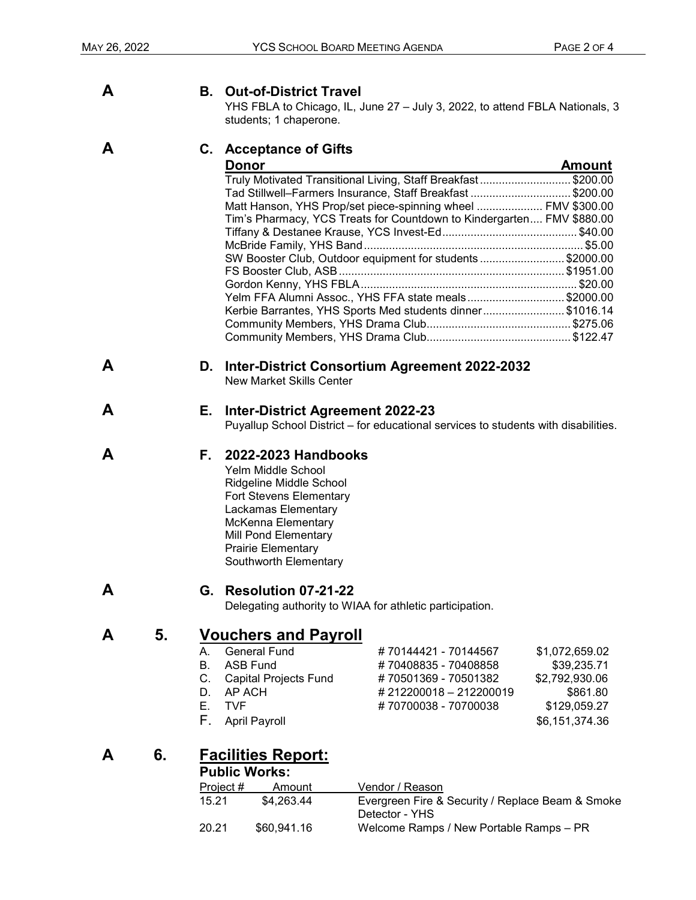#### **A B. Out-of-District Travel**

YHS FBLA to Chicago, IL, June 27 – July 3, 2022, to attend FBLA Nationals, 3 students; 1 chaperone.

#### **A C. Acceptance of Gifts**

| <b>Donor</b>                                                          | <b>Amount</b> |
|-----------------------------------------------------------------------|---------------|
| Truly Motivated Transitional Living, Staff Breakfast\$200.00          |               |
| Tad Stillwell-Farmers Insurance, Staff Breakfast \$200.00             |               |
| Matt Hanson, YHS Prop/set piece-spinning wheel  FMV \$300.00          |               |
| Tim's Pharmacy, YCS Treats for Countdown to Kindergarten FMV \$880.00 |               |
|                                                                       |               |
|                                                                       |               |
| SW Booster Club, Outdoor equipment for students\$2000.00              |               |
|                                                                       |               |
|                                                                       |               |
| Yelm FFA Alumni Assoc., YHS FFA state meals\$2000.00                  |               |
| Kerbie Barrantes, YHS Sports Med students dinner\$1016.14             |               |
|                                                                       |               |
|                                                                       |               |

#### **A D. Inter-District Consortium Agreement 2022-2032**

New Market Skills Center

#### **A E. Inter-District Agreement 2022-23**

Puyallup School District – for educational services to students with disabilities.

#### **A F. 2022-2023 Handbooks**

Yelm Middle School Ridgeline Middle School Fort Stevens Elementary Lackamas Elementary McKenna Elementary Mill Pond Elementary Prairie Elementary Southworth Elementary

#### **A G. Resolution 07-21-22**

Delegating authority to WIAA for athletic participation.

# **A** 5. **Vouchers and Payroll**<br>A. General Fund

- A. General Fund # 70144421 70144567 \$1,072,659.02<br>B. ASB Fund # 70408835 70408858 \$39.235.71
- B. ASB Fund # 70408835 70408858 \$39,235.71
- C. Capital Projects Fund # 70501369 70501382 \$2,792,930.06<br>D. AP ACH \$861.80 # 212200018 212200019 \$861.80
- D. AP ACH # 212200018 212200019 \$861.80<br>E. TVF # 70700038 70700038 \$129.059.27
- 
- F. April Payroll **Example 20** 36,151,374.36

## **A 6. Facilities Report:**

#### **Public Works:**

| Project # | Amount      | Vendor / Reason                                  |
|-----------|-------------|--------------------------------------------------|
| 15.21     | \$4.263.44  | Evergreen Fire & Security / Replace Beam & Smoke |
|           |             | Detector - YHS                                   |
| 20.21     | \$60.941.16 | Welcome Ramps / New Portable Ramps – PR          |

#70700038 - 70700038 \$129,059.27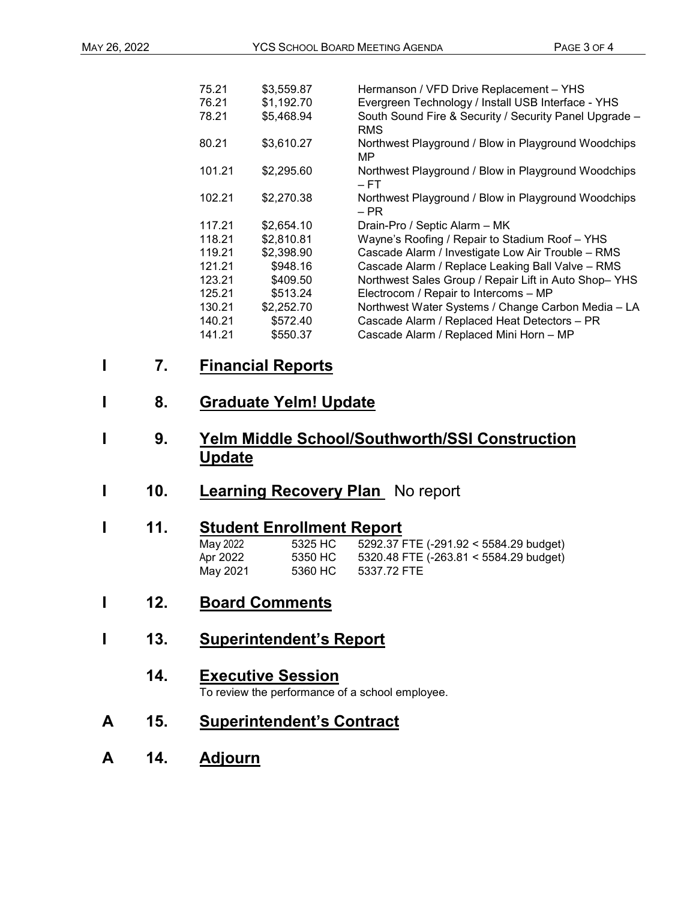| 75.21  | \$3,559.87 | Hermanson / VFD Drive Replacement - YHS                |
|--------|------------|--------------------------------------------------------|
| 76.21  | \$1,192.70 | Evergreen Technology / Install USB Interface - YHS     |
| 78.21  | \$5,468.94 | South Sound Fire & Security / Security Panel Upgrade - |
|        |            | <b>RMS</b>                                             |
| 80.21  | \$3,610.27 | Northwest Playground / Blow in Playground Woodchips    |
|        |            | MP.                                                    |
| 101.21 | \$2,295.60 | Northwest Playground / Blow in Playground Woodchips    |
|        |            | – FT                                                   |
| 102.21 | \$2,270.38 | Northwest Playground / Blow in Playground Woodchips    |
|        |            | – PR                                                   |
| 117.21 | \$2,654.10 | Drain-Pro / Septic Alarm - MK                          |
| 118.21 | \$2,810.81 | Wayne's Roofing / Repair to Stadium Roof - YHS         |
| 119.21 | \$2,398.90 | Cascade Alarm / Investigate Low Air Trouble - RMS      |
| 121.21 | \$948.16   | Cascade Alarm / Replace Leaking Ball Valve - RMS       |
| 123.21 | \$409.50   | Northwest Sales Group / Repair Lift in Auto Shop-YHS   |
| 125.21 | \$513.24   | Electrocom / Repair to Intercoms - MP                  |
| 130.21 | \$2,252.70 | Northwest Water Systems / Change Carbon Media - LA     |
| 140.21 | \$572.40   | Cascade Alarm / Replaced Heat Detectors - PR           |
| 141.21 | \$550.37   | Cascade Alarm / Replaced Mini Horn - MP                |
|        |            |                                                        |

- **I 7. Financial Reports**
- **I 8. Graduate Yelm! Update**
- **I 9. Yelm Middle School/Southworth/SSI Construction Update**
- **1 10. Learning Recovery Plan** No report

### **I 11. Student Enrollment Report**

| May 2022 | 5325 HC | 5292.37 FTE (-291.92 < 5584.29 budget) |
|----------|---------|----------------------------------------|
| Apr 2022 | 5350 HC | 5320.48 FTE (-263.81 < 5584.29 budget) |
| May 2021 | 5360 HC | 5337.72 FTE                            |

- **I 12. Board Comments**
- **I 13. Superintendent's Report**
	- **14. Executive Session**<br>To review the performance of a school employee.
- **A 15. Superintendent's Contract**
- **A 14. Adjourn**